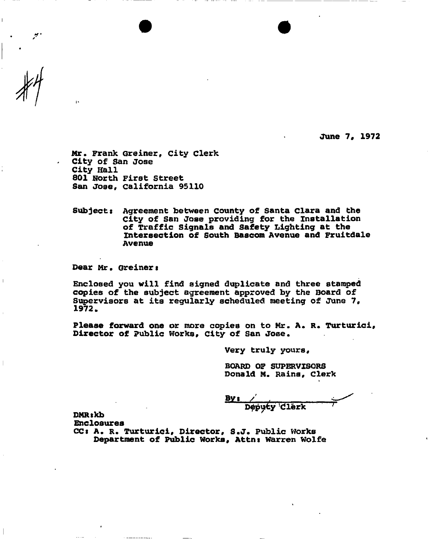**June 7, 1972** 

**Mr. Frank Greiner, City Clerk City of San Jose City Hall 801 North First Street San Jose, California 95110** 

**Subjects Agreement between county of Santa Clara and the City of San Jose providing for the Installation of Traffic Signals and Safety Lighting at the Intersection of South Bascom Avenue and Fruitdale Avenue** 

**Dear Mr. Greiners** 

**Enclosed you will find signed duplicate and three stamped copies of the subject agreement approved by the Board of Supervisors at its regularly scheduled meeting of June 7, 1972.** 

**Please forward one or more copies on to Mr. A. R. Turturici, Director of Public Works, City of San Jose.** 

**Very truly yours,** 

**BOARD OF SUPERVISORS Donald M. Rains, Clerk** 

By» / **Deputy Clerk** 

**DMRtkb** 

**Enclosures** 

**CCi A. R. Turturici, Director, S.J. Public Works Department of Public Works, Attns Warren Wolfe**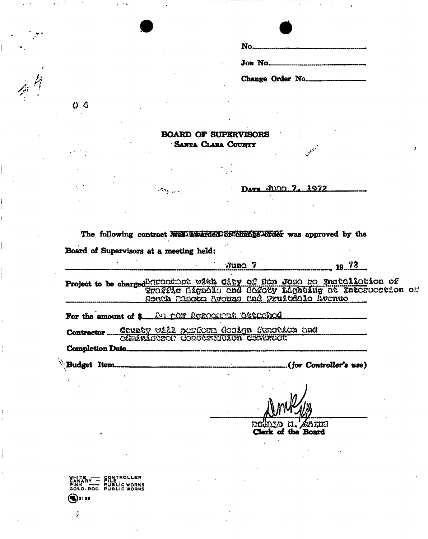| Chance Cuday Na |
|-----------------|

**Barry** 

1072

DATE 2000 7

**BOARD OF SUPERVISORS SANTA CLARA COUNTY** 

The following contract *was awarded* of change of der was approved by the Board of Supervisors at a meeting held:  $, 19 \frac{73}{ }$ June 7 Project to be charged *Mindofficial with Gity of Han Jose to Enstallation* of Project to be charged *Mindig Case City at Addabing at Intersection* of Senato Avenue and Discrep and Pruite and Avenue

For the amount of \$ 20 por Agrocommi asseccional

County will perform design function and Contractor....

ひく

**Budget Item.** 

 $\sim 0.8$  ,  $\sim 10$ 

(for Controller's use)

**ELIGI** Clerk of the Board

WHITE --- CONTROLLER<br>CANARY -- FILE<br>PINK --- PUBLIC WORKS<br>GOLD ROD FUBLIC WORKS  $\left($  3128

Ŷ.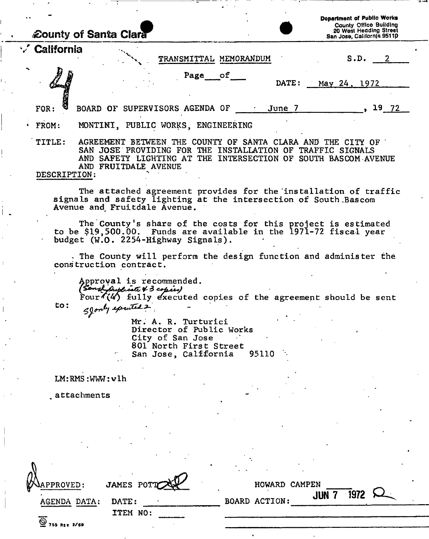|                                   |                                                                                                                                                                                                                                                           |                                                                                                                       |               |                                   | <b>Department of Public Works</b><br><b>County Office Building</b> |  |
|-----------------------------------|-----------------------------------------------------------------------------------------------------------------------------------------------------------------------------------------------------------------------------------------------------------|-----------------------------------------------------------------------------------------------------------------------|---------------|-----------------------------------|--------------------------------------------------------------------|--|
| ∴ California                      | <b><i>County of Santa Clara</i></b>                                                                                                                                                                                                                       |                                                                                                                       |               |                                   | 20 West Heading Street<br>San Jose, California 95110               |  |
|                                   |                                                                                                                                                                                                                                                           | TRANSMITTAL MEMORANDUM                                                                                                |               |                                   | S.D.<br>$\overline{2}$                                             |  |
|                                   |                                                                                                                                                                                                                                                           | Page of                                                                                                               |               | DATE:                             | May 24, 1972                                                       |  |
| FOR:<br><b>FROM:</b><br>$\bullet$ | BOARD OF SUPERVISORS AGENDA OF                                                                                                                                                                                                                            |                                                                                                                       |               | $\cdot$ June 7                    | 19 72                                                              |  |
| TITLE:<br>DESCRIPTION:            | MONTINI, PUBLIC WORKS, ENGINEERING<br>AGREEMENT BETWEEN THE COUNTY OF SANTA CLARA AND THE CITY OF<br>SAN JOSE PROVIDING FOR THE INSTALLATION OF TRAFFIC SIGNALS<br>AND SAFETY LIGHTING AT THE INTERSECTION OF SOUTH BASCOM AVENUE<br>AND FRUITDALE AVENUE |                                                                                                                       |               |                                   |                                                                    |  |
|                                   | The attached agreement provides for the installation of traffic<br>signals and safety lighting at the intersection of South Bascom<br>Avenue and Fruitdale Avenue.                                                                                        |                                                                                                                       |               |                                   |                                                                    |  |
|                                   | The County's share of the costs for this project is estimated<br>to be \$19,500.00. Funds are available in the 1971-72 fiscal year<br>budget (W.O. 2254-Highway Signals).                                                                                 |                                                                                                                       |               |                                   |                                                                    |  |
|                                   | . The County will perform the design function and administer the<br>construction contract.                                                                                                                                                                |                                                                                                                       |               |                                   |                                                                    |  |
| to:                               | Approval is recommended.<br>Somel Auplicate & 3 copies)<br>Four (4) fully executed copies of the agreement should be sent<br>Sloody executed 2                                                                                                            |                                                                                                                       |               |                                   |                                                                    |  |
|                                   |                                                                                                                                                                                                                                                           | Mr. A. R. Turturici<br>Director of Public Works<br>City of San Jose<br>801 North First Street<br>San Jose, California | 95110         |                                   |                                                                    |  |
|                                   | LM:RMS:WWW:vlh                                                                                                                                                                                                                                            |                                                                                                                       |               |                                   |                                                                    |  |
|                                   |                                                                                                                                                                                                                                                           |                                                                                                                       |               |                                   |                                                                    |  |
|                                   | attachments                                                                                                                                                                                                                                               |                                                                                                                       |               |                                   |                                                                    |  |
|                                   |                                                                                                                                                                                                                                                           |                                                                                                                       |               |                                   |                                                                    |  |
|                                   |                                                                                                                                                                                                                                                           |                                                                                                                       |               |                                   |                                                                    |  |
| APPROVED:<br>AGENDA DATA:         | <b>JAMES POT</b><br>DATE:                                                                                                                                                                                                                                 |                                                                                                                       | BOARD ACTION: | HOWARD CAMPEN<br>JUN <sub>7</sub> | $-1972$                                                            |  |

 $\hat{\textbf{r}}$ 

 $\ddot{\phantom{a}}$ 

© **TSS Rtv 9/fift**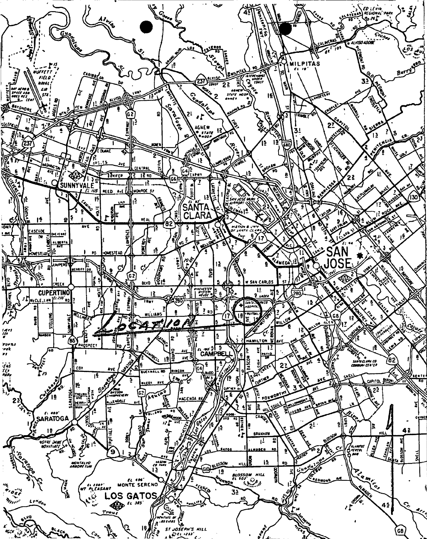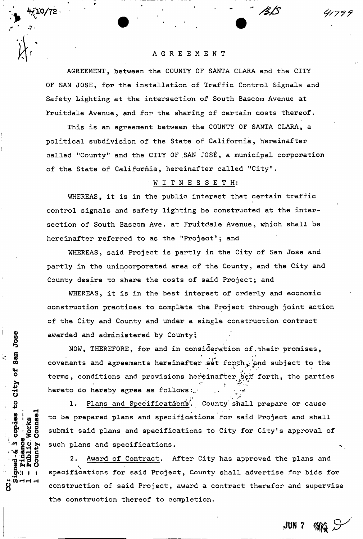## AGREEMEN T

AGREEMENT, between the COUNTY OF SANTA CLARA and the CITY OF SAN JOSE, for the installation of Traffic Control Signals and Safety Lighting at the intersection of South Bascom Avenue at Fruitdale Avenue, and for the sharing of certain costs thereof.

This is an agreement between the COUNTY OF SANTA CLARA, a political subdivision of the State of California, hereinafter called "County" and the CITY OF SAN JOSE, a municipal corporation of the State of California, hereinafter called "City".

## • WITNESSETH :

WHEREAS, it is in the public interest that certain traffic control signals and safety lighting be constructed at the intersection of South Bascom Ave. at Fruitdale Avenue, which shall be hereinafter referred to as the "Project"; and

WHEREAS, said Project is partly in the City of San Jose and partly in the unincorporated area of the County, and the City and County desire to share the costs of said Project; and

WHEREAS, it is in the best interest of orderly and economic construction practices to complete the Project through joint action of the City and County and under a single construction contract awarded and administered by County;

NOW, THEREFORE, for and in consideration of.their promises, » . i covenants and agreements hereinafter set forth, and subject to the terms, conditions and provisions hereinafter set forth, the parties hereto do hereby agree as follows:

1. Plans and Specifications. County shall prepare or cause 0 1. Plans and Specificatatorife'. County' shall prepare or cause g i g g to be prepared plans and specifications for said Project and shall<br>d : X H **•**H **. x a**  1 to be prepared plans and specifications for said Project and shall<br>1 Submit said plans and specifications to City for City's approval of<br>0 such plans and specifications.

 $\breve{\mathbf{0}}$ 

 $\mathbf{H}$ 

i Q> •<sup>U</sup>

. \_'ዓፀ 2

Award of Contract. After City has approved the plans and g and verture specifications for said Project, County shall advertise for bids for  $\frac{1}{2}$ •• 10 H H H<br>\*\* g construction of said  $P$  construction of said  $P$  reformation of said  $\mathcal{P}$  and supervise  $\mathcal{P}$ 

**JUN?**  $\omega$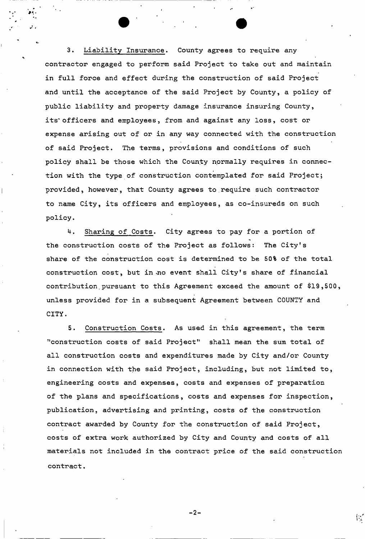3. Liability Insurance. County agrees to require any contractor engaged to perform said Project to take out and maintain in full force and effect during the construction of said Project and until the acceptance of the said Project by County, a policy of public liability and property damage insurance insuring County, its officers and employees, from and against any loss, cost or expense arising out of or in any way connected with the construction of said Project. The terms, provisions and conditions of such policy shall be those which the County normally requires in connection with the type of construction contemplated for said Project; provided, however, that County agrees to.require such contractor to name City, its officers and employees, as co-insureds on such policy.

Sharing of Costs. City agrees to pay for a portion of 4. the construction costs of the Project as follows: The City's share of the construction cost is determined to be 50% of the total construction cost, but in no event shall City's share of financial contribution.pursuant to this Agreement exceed the amount of \$19,500, unless provided for in a subsequent Agreement between COUNTY and CITY.

5. Construction Costs. As used in this agreement, the term "construction costs of said Project" shall mean the sum total of all construction costs and expenditures made by City and/or County in connection with the said Project, including, but not limited to, engineering costs and expenses, costs and expenses of preparation of the plans and specifications, costs and expenses for inspection, publication, advertising and printing, costs of the construction contract awarded by County for the construction of said Project, costs of extra work authorized by City and County and costs of all materials not included in the contract price of the said construction contract.

 $-2-$ 

Íу.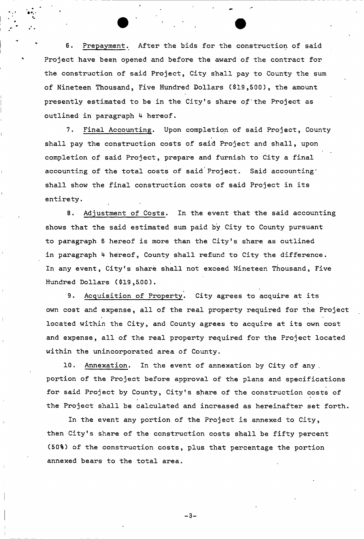6. Prepayment. After the bids for the construction of said Project have been opened and before the award of the contract for the construction of said Project, City shall pay to County the sum of Nineteen Thousand, Five Hundred Dollars (\$19,500), the amount presently estimated to be in the City's share of the Project as outlined in paragraph 4 hereof.

7. Final Accounting. Upon completion of said Project, County shall pay the construction costs of said Project and shall, upon completion of said Project, prepare and furnish to City a final accounting of the total costs of said Project. Said accounting' shall show the final construction costs of said Project in its entirety.

8. Adjustment of Costs. In the event that the said accounting shows that the said estimated sum paid by City to County pursuant to paragraph 6 hereof is more than the City's share as outlined in paragraph 4 hereof, County shall refund to City the difference. In any event, City's share shall not exceed Nineteen Thousand, Five Hundred Dollars (\$19,5.00).

9. Acquisition of Property. City agrees to acquire at its own cost and expense, all of the real property required for the Project located within the City, and County agrees to acquire at its own cost and expense, all of the real property required for the Project located within the unincorporated area of County.

10. Annexation. In the event of annexation by City of any . portion of the Project before approval of the plans and specifications for said Project by County, City's share of the construction costs of the Project shall be calculated and increased as hereinafter set forth.

In the event any portion of the Project is annexed to City, then City's share of the construction costs shall be fifty percent (50%) of the construction costs, plus that percentage the portion annexed bears to the total area.

 $-3-$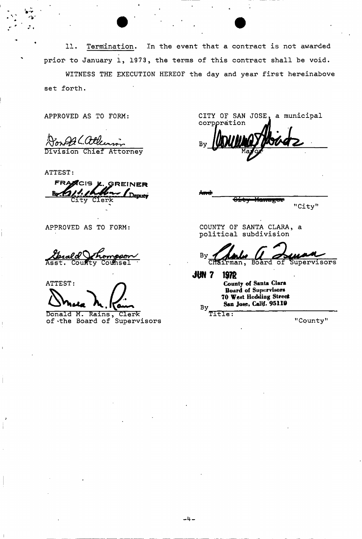11. Termination. In the event that a contract is not awarded prior to January 1, 1973, the terms of this contract shall be void.

 **. • . •** 

WITNESS THE EXECUTION HEREOF the day and year first hereinabove set forth.

APPROVED AS TO FORM:

Division Chief Attorney

**•**

ATTEST

FRANCIS K. GREINER Deputy City Clerk

APPROVED AS TO FORM:

prol $\mathscr{A}% _{k}=\mathscr{A}_{\mathscr{A}}^{\ast}\mathscr{A}_{\mathscr{A}}^{\ast}$ Asst. County Counsel

ATTEST:

Donald M. Rains, Clerk of <the Board of Supervisors

CITY OF SAN JOSE, a municipal corporation By

QjlIjj i Mawwg w "City"

COUNTY OF SANTA CLARA, a political subdivision

By **Chairman**, Board of Supervisors

JUN7 1978

County of Santa Clara Board of Supervisors 70 West Heckling Street By San Jose, Calif. 95110

Title:

"County"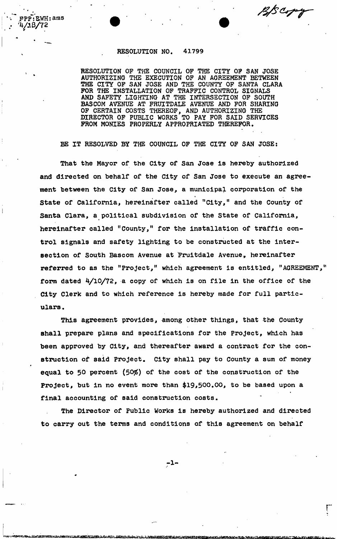## **RESOLUTION NO. 41799**

 $:$  EWH:  $a$ ms **•'4/A3/72** 

> **RESOLUTION OP THE COUNCIL OP THE CITY OP SAN JOSE AUTHORIZING THE EXECUTION OP AN AGREEMENT BETWEEN THE CITY OP SAN JOSE AND THE COUNTY OP SANTA CLARA POR THE INSTALLATION OP TRAFFIC CONTROL SIGNALS AND SAFETY LIGHTING AT THE INTERSECTION OF SOUTH BASCOM AVENUE AT FRUITDALE AVENUE AND FOR SHARING OF CERTAIN COSTS THEREOF, AND AUTHORIZING THE DIRECTOR OF PUBLIC WORKS TO PAY FOR SAID SERVICES FROM MONIES PROPERLY APPROPRIATED THEREFOR.**

2/5 Copy

**BE IT RESOLVED BY THE COUNCIL OF THE CITY OP SAN JOSE:** 

**That the Mayor of the City of San Jose Is hereby authorized and directed on behalf of the City of San Jose to execute an agreement between the City of San Jose, a municipal corporation of the State of California, hereinafter called "City," and the County of Santa Clara, a political subdivision of the State of California, hereinafter called "County," for the installation of traffic control signals and safety lighting to be constructed at the intersection of South Bascom Avenue at Fruitdale Avenue, hereinafter referred to as the "Project," which agreement is entitled, "AGREEMENT," form dated 4/10/72, a copy of which is on file in the office of the City Clerk and to which reference is hereby made for full particulars .** 

**This agreement provides, among other things, that the County shall prepare plans and specifications for the Project, which has been approved by City, and thereafter award a contract for the construction of said Project. City shall pay to County a sum of money equal to 50 percent (50£) of the cost of the construction of the Project, but in no event more than \$19,500.00, to be based upon a final accounting of said construction costs.** 

**The Director of Public Works is hereby authorized and directed to carry out the terms and conditions of this agreement on behalf** 

 $-1-$ 

 $\int_0^\infty$